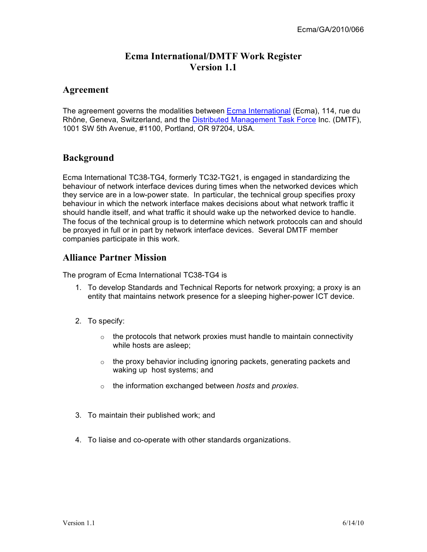# **Ecma International/DMTF Work Register Version 1.1**

### **Agreement**

The agreement governs the modalities between **Ecma International** (Ecma), 114, rue du Rhône, Geneva, Switzerland, and the Distributed Management Task Force Inc. (DMTF), 1001 SW 5th Avenue, #1100, Portland, OR 97204, USA.

# **Background**

Ecma International TC38-TG4, formerly TC32-TG21, is engaged in standardizing the behaviour of network interface devices during times when the networked devices which they service are in a low-power state. In particular, the technical group specifies proxy behaviour in which the network interface makes decisions about what network traffic it should handle itself, and what traffic it should wake up the networked device to handle. The focus of the technical group is to determine which network protocols can and should be proxyed in full or in part by network interface devices. Several DMTF member companies participate in this work.

## **Alliance Partner Mission**

The program of Ecma International TC38-TG4 is

- 1. To develop Standards and Technical Reports for network proxying; a proxy is an entity that maintains network presence for a sleeping higher-power ICT device.
- 2. To specify:
	- $\circ$  the protocols that network proxies must handle to maintain connectivity while hosts are asleep;
	- $\circ$  the proxy behavior including ignoring packets, generating packets and waking up host systems; and
	- o the information exchanged between *hosts* and *proxies*.
- 3. To maintain their published work; and
- 4. To liaise and co-operate with other standards organizations.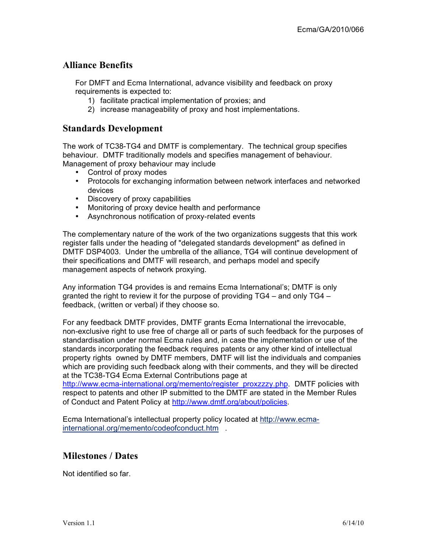### **Alliance Benefits**

For DMFT and Ecma International, advance visibility and feedback on proxy requirements is expected to:

- 1) facilitate practical implementation of proxies; and
- 2) increase manageability of proxy and host implementations.

#### **Standards Development**

The work of TC38-TG4 and DMTF is complementary. The technical group specifies behaviour. DMTF traditionally models and specifies management of behaviour. Management of proxy behaviour may include

- Control of proxy modes
- Protocols for exchanging information between network interfaces and networked devices
- Discovery of proxy capabilities
- Monitoring of proxy device health and performance
- Asynchronous notification of proxy-related events

The complementary nature of the work of the two organizations suggests that this work register falls under the heading of "delegated standards development" as defined in DMTF DSP4003. Under the umbrella of the alliance, TG4 will continue development of their specifications and DMTF will research, and perhaps model and specify management aspects of network proxying.

Any information TG4 provides is and remains Ecma International's; DMTF is only granted the right to review it for the purpose of providing TG4 – and only TG4 – feedback, (written or verbal) if they choose so.

For any feedback DMTF provides, DMTF grants Ecma International the irrevocable, non-exclusive right to use free of charge all or parts of such feedback for the purposes of standardisation under normal Ecma rules and, in case the implementation or use of the standards incorporating the feedback requires patents or any other kind of intellectual property rights owned by DMTF members, DMTF will list the individuals and companies which are providing such feedback along with their comments, and they will be directed at the TC38-TG4 Ecma External Contributions page at

http://www.ecma-international.org/memento/register\_proxzzzy.php. DMTF policies with respect to patents and other IP submitted to the DMTF are stated in the Member Rules of Conduct and Patent Policy at http://www.dmtf.org/about/policies.

Ecma International's intellectual property policy located at http://www.ecmainternational.org/memento/codeofconduct.htm .

### **Milestones / Dates**

Not identified so far.